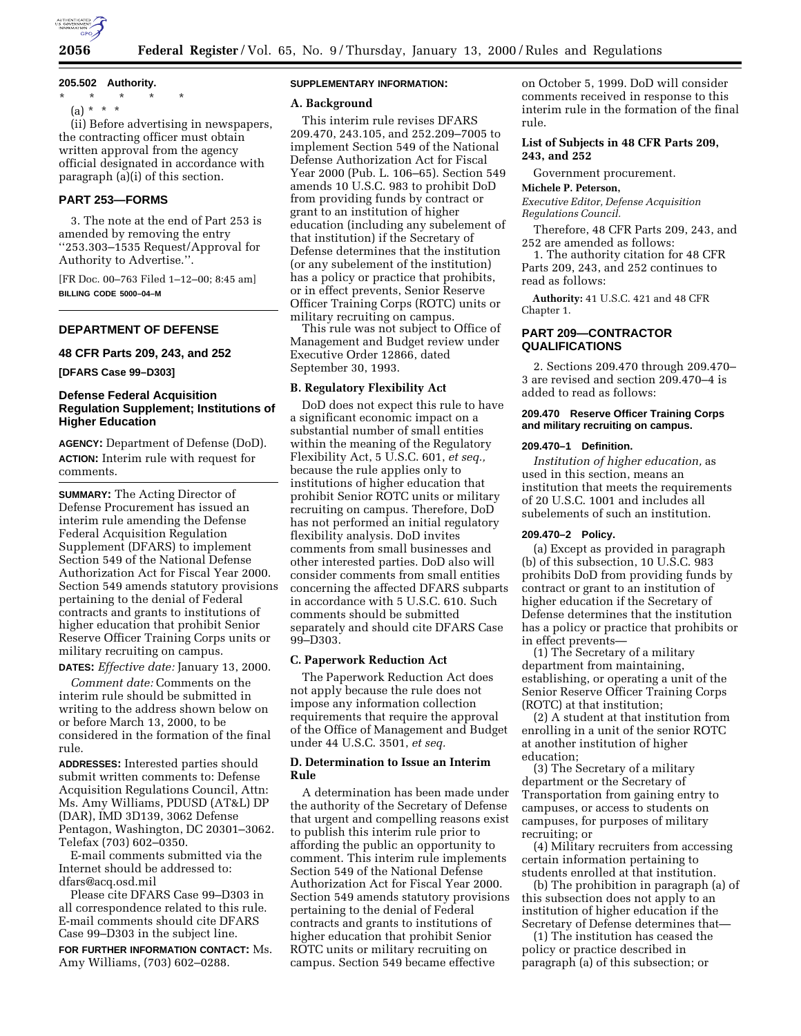

**205.502 Authority.**

\* \* \* \* \* (a) \* \* \*

(ii) Before advertising in newspapers, the contracting officer must obtain written approval from the agency official designated in accordance with paragraph (a)(i) of this section.

# **PART 253—FORMS**

3. The note at the end of Part 253 is amended by removing the entry ''253.303–1535 Request/Approval for Authority to Advertise.''.

[FR Doc. 00–763 Filed 1–12–00; 8:45 am] **BILLING CODE 5000–04–M**

## **DEPARTMENT OF DEFENSE**

#### **48 CFR Parts 209, 243, and 252**

**[DFARS Case 99–D303]**

## **Defense Federal Acquisition Regulation Supplement; Institutions of Higher Education**

**AGENCY:** Department of Defense (DoD). **ACTION:** Interim rule with request for comments.

**SUMMARY:** The Acting Director of Defense Procurement has issued an interim rule amending the Defense Federal Acquisition Regulation Supplement (DFARS) to implement Section 549 of the National Defense Authorization Act for Fiscal Year 2000. Section 549 amends statutory provisions pertaining to the denial of Federal contracts and grants to institutions of higher education that prohibit Senior Reserve Officer Training Corps units or military recruiting on campus.

**DATES:** *Effective date:* January 13, 2000.

*Comment date:* Comments on the interim rule should be submitted in writing to the address shown below on or before March 13, 2000, to be considered in the formation of the final rule.

**ADDRESSES:** Interested parties should submit written comments to: Defense Acquisition Regulations Council, Attn: Ms. Amy Williams, PDUSD (AT&L) DP (DAR), IMD 3D139, 3062 Defense Pentagon, Washington, DC 20301–3062. Telefax (703) 602–0350.

E-mail comments submitted via the Internet should be addressed to: dfars@acq.osd.mil

Please cite DFARS Case 99–D303 in all correspondence related to this rule. E-mail comments should cite DFARS Case 99–D303 in the subject line.

**FOR FURTHER INFORMATION CONTACT:** Ms. Amy Williams, (703) 602–0288.

## **SUPPLEMENTARY INFORMATION:**

#### **A. Background**

This interim rule revises DFARS 209.470, 243.105, and 252.209–7005 to implement Section 549 of the National Defense Authorization Act for Fiscal Year 2000 (Pub. L. 106–65). Section 549 amends 10 U.S.C. 983 to prohibit DoD from providing funds by contract or grant to an institution of higher education (including any subelement of that institution) if the Secretary of Defense determines that the institution (or any subelement of the institution) has a policy or practice that prohibits, or in effect prevents, Senior Reserve Officer Training Corps (ROTC) units or military recruiting on campus.

This rule was not subject to Office of Management and Budget review under Executive Order 12866, dated September 30, 1993.

## **B. Regulatory Flexibility Act**

DoD does not expect this rule to have a significant economic impact on a substantial number of small entities within the meaning of the Regulatory Flexibility Act, 5 U.S.C. 601, *et seq.,* because the rule applies only to institutions of higher education that prohibit Senior ROTC units or military recruiting on campus. Therefore, DoD has not performed an initial regulatory flexibility analysis. DoD invites comments from small businesses and other interested parties. DoD also will consider comments from small entities concerning the affected DFARS subparts in accordance with 5 U.S.C. 610. Such comments should be submitted separately and should cite DFARS Case 99–D303.

#### **C. Paperwork Reduction Act**

The Paperwork Reduction Act does not apply because the rule does not impose any information collection requirements that require the approval of the Office of Management and Budget under 44 U.S.C. 3501, *et seq.*

#### **D. Determination to Issue an Interim Rule**

A determination has been made under the authority of the Secretary of Defense that urgent and compelling reasons exist to publish this interim rule prior to affording the public an opportunity to comment. This interim rule implements Section 549 of the National Defense Authorization Act for Fiscal Year 2000. Section 549 amends statutory provisions pertaining to the denial of Federal contracts and grants to institutions of higher education that prohibit Senior ROTC units or military recruiting on campus. Section 549 became effective

on October 5, 1999. DoD will consider comments received in response to this interim rule in the formation of the final rule.

**List of Subjects in 48 CFR Parts 209, 243, and 252**

Government procurement.

## **Michele P. Peterson,**

*Executive Editor, Defense Acquisition Regulations Council.*

Therefore, 48 CFR Parts 209, 243, and 252 are amended as follows:

1. The authority citation for 48 CFR Parts 209, 243, and 252 continues to read as follows:

**Authority:** 41 U.S.C. 421 and 48 CFR Chapter 1.

## **PART 209—CONTRACTOR QUALIFICATIONS**

2. Sections 209.470 through 209.470– 3 are revised and section 209.470–4 is added to read as follows:

## **209.470 Reserve Officer Training Corps and military recruiting on campus.**

### **209.470–1 Definition.**

*Institution of higher education,* as used in this section, means an institution that meets the requirements of 20 U.S.C. 1001 and includes all subelements of such an institution.

### **209.470–2 Policy.**

(a) Except as provided in paragraph (b) of this subsection, 10 U.S.C. 983 prohibits DoD from providing funds by contract or grant to an institution of higher education if the Secretary of Defense determines that the institution has a policy or practice that prohibits or in effect prevents—

(1) The Secretary of a military department from maintaining, establishing, or operating a unit of the Senior Reserve Officer Training Corps (ROTC) at that institution;

(2) A student at that institution from enrolling in a unit of the senior ROTC at another institution of higher education;

(3) The Secretary of a military department or the Secretary of Transportation from gaining entry to campuses, or access to students on campuses, for purposes of military recruiting; or

(4) Military recruiters from accessing certain information pertaining to students enrolled at that institution.

(b) The prohibition in paragraph (a) of this subsection does not apply to an institution of higher education if the Secretary of Defense determines that—

(1) The institution has ceased the policy or practice described in paragraph (a) of this subsection; or